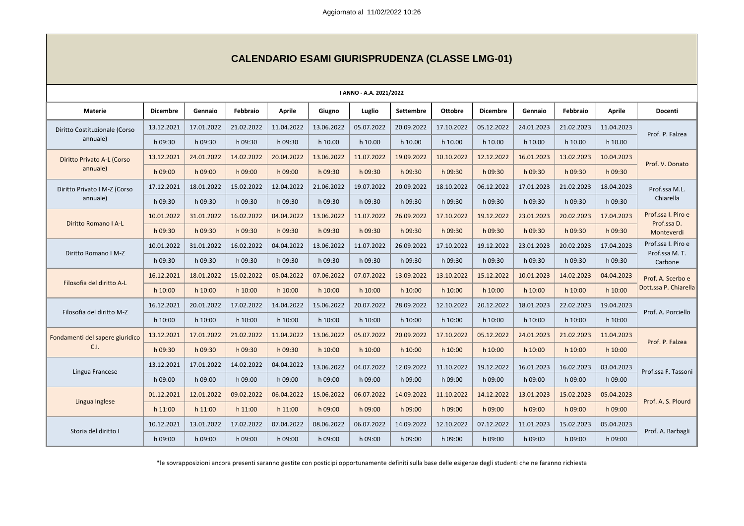| <b>I ANNO - A.A. 2021/2022</b>    |                 |            |            |               |            |            |                  |                |                 |            |            |               |                                     |
|-----------------------------------|-----------------|------------|------------|---------------|------------|------------|------------------|----------------|-----------------|------------|------------|---------------|-------------------------------------|
| <b>Materie</b>                    | <b>Dicembre</b> | Gennaio    | Febbraio   | <b>Aprile</b> | Giugno     | Luglio     | <b>Settembre</b> | <b>Ottobre</b> | <b>Dicembre</b> | Gennaio    | Febbraio   | <b>Aprile</b> | Docenti                             |
| Diritto Costituzionale (Corso     | 13.12.2021      | 17.01.2022 | 21.02.2022 | 11.04.2022    | 13.06.2022 | 05.07.2022 | 20.09.2022       | 17.10.2022     | 05.12.2022      | 24.01.2023 | 21.02.2023 | 11.04.2023    | Prof. P. Falzea                     |
| annuale)                          | h 09:30         | h 09:30    | h 09:30    | h 09:30       | h 10.00    | h 10.00    | h 10.00          | h 10.00        | h 10.00         | h 10.00    | h 10.00    | h 10.00       |                                     |
| <b>Diritto Privato A-L (Corso</b> | 13.12.2021      | 24.01.2022 | 14.02.2022 | 20.04.2022    | 13.06.2022 | 11.07.2022 | 19.09.2022       | 10.10.2022     | 12.12.2022      | 16.01.2023 | 13.02.2023 | 10.04.2023    | Prof. V. Donato                     |
| annuale)                          | h 09:00         | h 09:00    | h 09:00    | h 09:00       | h 09:30    | h 09:30    | h 09:30          | h 09:30        | h 09:30         | h 09:30    | h 09:30    | h 09:30       |                                     |
| Diritto Privato I M-Z (Corso      | 17.12.2021      | 18.01.2022 | 15.02.2022 | 12.04.2022    | 21.06.2022 | 19.07.2022 | 20.09.2022       | 18.10.2022     | 06.12.2022      | 17.01.2023 | 21.02.2023 | 18.04.2023    | Prof.ssa M.L.                       |
| annuale)                          | h 09:30         | h 09:30    | h 09:30    | h 09:30       | h 09:30    | h 09:30    | h 09:30          | h 09:30        | h 09:30         | h 09:30    | h 09:30    | h 09:30       | Chiarella                           |
| Diritto Romano I A-L              | 10.01.2022      | 31.01.2022 | 16.02.2022 | 04.04.2022    | 13.06.2022 | 11.07.2022 | 26.09.2022       | 17.10.2022     | 19.12.2022      | 23.01.2023 | 20.02.2023 | 17.04.2023    | Prof.ssa I. Piro e<br>Prof.ssa D.   |
|                                   | h 09:30         | h 09:30    | h 09:30    | h 09:30       | h 09:30    | h 09:30    | h 09:30          | h 09:30        | h 09:30         | h 09:30    | h 09:30    | h 09:30       | Monteverdi                          |
| Diritto Romano I M-Z              | 10.01.2022      | 31.01.2022 | 16.02.2022 | 04.04.2022    | 13.06.2022 | 11.07.2022 | 26.09.2022       | 17.10.2022     | 19.12.2022      | 23.01.2023 | 20.02.2023 | 17.04.2023    | Prof.ssa I. Piro e<br>Prof.ssa M.T. |
|                                   | h 09:30         | h 09:30    | h 09:30    | h 09:30       | h 09:30    | h 09:30    | h 09:30          | h 09:30        | h 09:30         | h 09:30    | h 09:30    | h 09:30       | Carbone                             |
| Filosofia del diritto A-L         | 16.12.2021      | 18.01.2022 | 15.02.2022 | 05.04.2022    | 07.06.2022 | 07.07.2022 | 13.09.2022       | 13.10.2022     | 15.12.2022      | 10.01.2023 | 14.02.2023 | 04.04.2023    | Prof. A. Scerbo e                   |
|                                   | h 10:00         | h 10:00    | h 10:00    | h 10:00       | h 10:00    | h 10:00    | $h$ 10:00        | h 10:00        | h 10:00         | h 10:00    | $h$ 10:00  | h 10:00       | Dott.ssa P. Chiarella               |
| Filosofia del diritto M-Z         | 16.12.2021      | 20.01.2022 | 17.02.2022 | 14.04.2022    | 15.06.2022 | 20.07.2022 | 28.09.2022       | 12.10.2022     | 20.12.2022      | 18.01.2023 | 22.02.2023 | 19.04.2023    | Prof. A. Porciello                  |
|                                   | h 10:00         | h 10:00    | h 10:00    | h 10:00       | h 10:00    | h 10:00    | h 10:00          | h 10:00        | h 10:00         | h 10:00    | h 10:00    | h 10:00       |                                     |
| Fondamenti del sapere giuridico   | 13.12.2021      | 17.01.2022 | 21.02.2022 | 11.04.2022    | 13.06.2022 | 05.07.2022 | 20.09.2022       | 17.10.2022     | 05.12.2022      | 24.01.2023 | 21.02.2023 | 11.04.2023    | Prof. P. Falzea                     |
| C.I.                              | h 09:30         | h 09:30    | h 09:30    | h 09:30       | h 10:00    | h 10:00    | $h$ 10:00        | h 10:00        | h 10:00         | h 10:00    | h 10:00    | h 10:00       |                                     |
| Lingua Francese                   | 13.12.2021      | 17.01.2022 | 14.02.2022 | 04.04.2022    | 13.06.2022 | 04.07.2022 | 12.09.2022       | 11.10.2022     | 19.12.2022      | 16.01.2023 | 16.02.2023 | 03.04.2023    | Prof.ssa F. Tassoni                 |
|                                   | h 09:00         | h 09:00    | h 09:00    | h 09:00       | h 09:00    | h 09:00    | h 09:00          | h 09:00        | h 09:00         | h 09:00    | h 09:00    | h 09:00       |                                     |
| Lingua Inglese                    | 01.12.2021      | 12.01.2022 | 09.02.2022 | 06.04.2022    | 15.06.2022 | 06.07.2022 | 14.09.2022       | 11.10.2022     | 14.12.2022      | 13.01.2023 | 15.02.2023 | 05.04.2023    | Prof. A. S. Plourd                  |
|                                   | h 11:00         | $h$ 11:00  | $h$ 11:00  | $h$ 11:00     | h 09:00    | h 09:00    | $h$ 09:00        | h 09:00        | h 09:00         | h 09:00    | h 09:00    | h 09:00       |                                     |
| Storia del diritto I              | 10.12.2021      | 13.01.2022 | 17.02.2022 | 07.04.2022    | 08.06.2022 | 06.07.2022 | 14.09.2022       | 12.10.2022     | 07.12.2022      | 11.01.2023 | 15.02.2023 | 05.04.2023    |                                     |
|                                   | h 09:00         | h 09:00    | h 09:00    | h 09:00       | h 09:00    | h 09:00    | h 09:00          | h 09:00        | h 09:00         | h 09:00    | h 09:00    | h 09:00       | Prof. A. Barbagli                   |

# **CALENDARIO ESAMI GIURISPRUDENZA (CLASSE LMG-01)**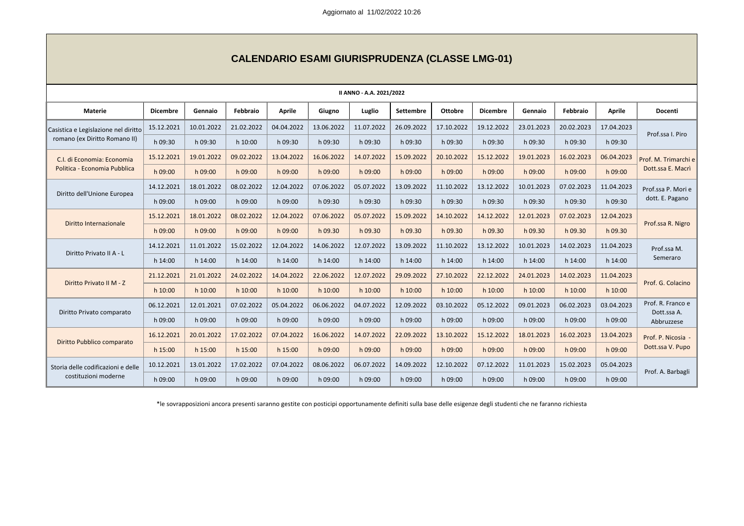| II ANNO - A.A. 2021/2022             |                 |            |            |               |            |            |                  |                |                 |            |            |               |                                  |
|--------------------------------------|-----------------|------------|------------|---------------|------------|------------|------------------|----------------|-----------------|------------|------------|---------------|----------------------------------|
| <b>Materie</b>                       | <b>Dicembre</b> | Gennaio    | Febbraio   | <b>Aprile</b> | Giugno     | Luglio     | <b>Settembre</b> | <b>Ottobre</b> | <b>Dicembre</b> | Gennaio    | Febbraio   | <b>Aprile</b> | Docenti                          |
| Casistica e Legislazione nel diritto | 15.12.2021      | 10.01.2022 | 21.02.2022 | 04.04.2022    | 13.06.2022 | 11.07.2022 | 26.09.2022       | 17.10.2022     | 19.12.2022      | 23.01.2023 | 20.02.2023 | 17.04.2023    | Prof.ssa I. Piro                 |
| romano (ex Diritto Romano II)        | h 09:30         | h 09:30    | h 10:00    | h 09:30       | h 09:30    | h 09:30    | h 09:30          | h 09:30        | h 09:30         | h 09:30    | h 09:30    | h 09:30       |                                  |
| C.I. di Economia: Economia           | 15.12.2021      | 19.01.2022 | 09.02.2022 | 13.04.2022    | 16.06.2022 | 14.07.2022 | 15.09.2022       | 20.10.2022     | 15.12.2022      | 19.01.2023 | 16.02.2023 | 06.04.2023    | Prof. M. Trimarchi e             |
| Politica - Economia Pubblica         | h 09:00         | h 09:00    | h 09:00    | h 09:00       | h 09:00    | h 09:00    | h 09:00          | h 09:00        | h 09:00         | h 09:00    | h 09:00    | h 09:00       | Dott.ssa E. Macrì                |
| Diritto dell'Unione Europea          | 14.12.2021      | 18.01.2022 | 08.02.2022 | 12.04.2022    | 07.06.2022 | 05.07.2022 | 13.09.2022       | 11.10.2022     | 13.12.2022      | 10.01.2023 | 07.02.2023 | 11.04.2023    | Prof.ssa P. Mori e               |
|                                      | h 09:00         | h 09:00    | h 09:00    | h 09:00       | h 09:30    | h 09:30    | h 09:30          | h 09:30        | h 09:30         | h 09:30    | h 09:30    | h 09:30       | dott. E. Pagano                  |
| Diritto Internazionale               | 15.12.2021      | 18.01.2022 | 08.02.2022 | 12.04.2022    | 07.06.2022 | 05.07.2022 | 15.09.2022       | 14.10.2022     | 14.12.2022      | 12.01.2023 | 07.02.2023 | 12.04.2023    | Prof.ssa R. Nigro                |
|                                      | h 09:00         | h 09:00    | h 09:00    | h 09:00       | h 09.30    | h 09.30    | h 09.30          | h 09.30        | h 09.30         | h 09.30    | h 09.30    | h 09.30       |                                  |
| Diritto Privato II A - L             | 14.12.2021      | 11.01.2022 | 15.02.2022 | 12.04.2022    | 14.06.2022 | 12.07.2022 | 13.09.2022       | 11.10.2022     | 13.12.2022      | 10.01.2023 | 14.02.2023 | 11.04.2023    | Prof.ssa M.<br>Semeraro          |
|                                      | h 14:00         | h 14:00    | h 14:00    | h 14:00       | h 14:00    | h 14:00    | h 14:00          | h 14:00        | h 14:00         | h 14:00    | h 14:00    | h 14:00       |                                  |
| Diritto Privato II M - Z             | 21.12.2021      | 21.01.2022 | 24.02.2022 | 14.04.2022    | 22.06.2022 | 12.07.2022 | 29.09.2022       | 27.10.2022     | 22.12.2022      | 24.01.2023 | 14.02.2023 | 11.04.2023    | Prof. G. Colacino                |
|                                      | h 10:00         | h 10:00    | h 10:00    | h 10:00       | $h$ 10:00  | h 10:00    | $h$ 10:00        | h 10:00        | h 10:00         | h 10:00    | h 10:00    | h 10:00       |                                  |
| Diritto Privato comparato            | 06.12.2021      | 12.01.2021 | 07.02.2022 | 05.04.2022    | 06.06.2022 | 04.07.2022 | 12.09.2022       | 03.10.2022     | 05.12.2022      | 09.01.2023 | 06.02.2023 | 03.04.2023    | Prof. R. Franco e<br>Dott.ssa A. |
|                                      | h 09:00         | h 09:00    | h 09:00    | h 09:00       | h 09:00    | h 09:00    | h 09:00          | h 09:00        | h 09:00         | h 09:00    | h 09:00    | h 09:00       | Abbruzzese                       |
|                                      | 16.12.2021      | 20.01.2022 | 17.02.2022 | 07.04.2022    | 16.06.2022 | 14.07.2022 | 22.09.2022       | 13.10.2022     | 15.12.2022      | 18.01.2023 | 16.02.2023 | 13.04.2023    | Prof. P. Nicosia -               |
| Diritto Pubblico comparato           | h 15:00         | h 15:00    | h 15:00    | h 15:00       | h 09:00    | h 09:00    | h 09:00          | h 09:00        | h 09:00         | h 09:00    | h 09:00    | h 09:00       | Dott.ssa V. Pupo                 |
| Storia delle codificazioni e delle   | 10.12.2021      | 13.01.2022 | 17.02.2022 | 07.04.2022    | 08.06.2022 | 06.07.2022 | 14.09.2022       | 12.10.2022     | 07.12.2022      | 11.01.2023 | 15.02.2023 | 05.04.2023    | Prof. A. Barbagli                |
| costituzioni moderne                 | h 09:00         | h 09:00    | h 09:00    | h 09:00       | h 09:00    | h 09:00    | h 09:00          | h 09:00        | h 09:00         | h 09:00    | h 09:00    | h 09:00       |                                  |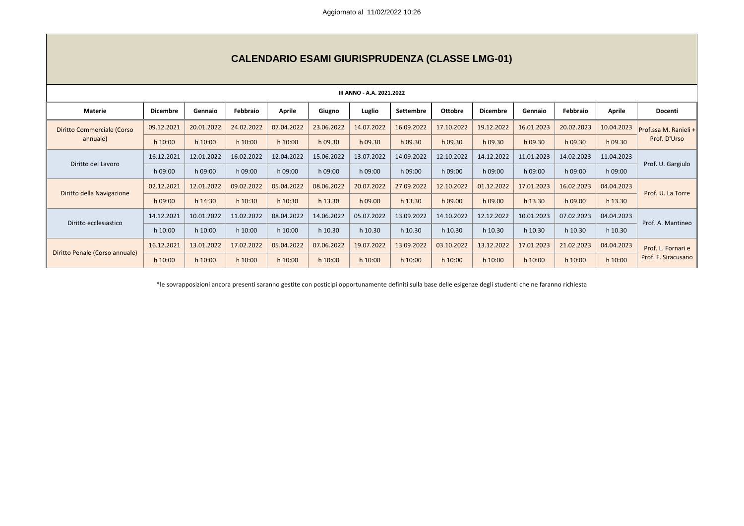| III ANNO - A.A. 2021.2022      |                 |            |            |               |            |            |                  |                |                 |            |            |               |                       |
|--------------------------------|-----------------|------------|------------|---------------|------------|------------|------------------|----------------|-----------------|------------|------------|---------------|-----------------------|
| <b>Materie</b>                 | <b>Dicembre</b> | Gennaio    | Febbraio   | <b>Aprile</b> | Giugno     | Luglio     | <b>Settembre</b> | <b>Ottobre</b> | <b>Dicembre</b> | Gennaio    | Febbraio   | <b>Aprile</b> | Docenti               |
| Diritto Commerciale (Corso     | 09.12.2021      | 20.01.2022 | 24.02.2022 | 07.04.2022    | 23.06.2022 | 14.07.2022 | 16.09.2022       | 17.10.2022     | 19.12.2022      | 16.01.2023 | 20.02.2023 | 10.04.2023    | Prof.ssa M. Ranieli + |
| annuale)                       | $h$ 10:00       | $h$ 10:00  | h 10:00    | h 10:00       | h 09.30    | h 09.30    | h 09.30          | h 09.30        | h 09.30         | h 09.30    | h 09.30    | h 09.30       | Prof. D'Urso          |
| Diritto del Lavoro             | 16.12.2021      | 12.01.2022 | 16.02.2022 | 12.04.2022    | 15.06.2022 | 13.07.2022 | 14.09.2022       | 12.10.2022     | 14.12.2022      | 11.01.2023 | 14.02.2023 | 11.04.2023    | Prof. U. Gargiulo     |
|                                | h 09:00         | h 09:00    | h 09:00    | h 09:00       | h 09:00    | h 09:00    | h 09:00          | h 09:00        | h 09:00         | h 09:00    | h 09:00    | h 09:00       |                       |
| Diritto della Navigazione      | 02.12.2021      | 12.01.2022 | 09.02.2022 | 05.04.2022    | 08.06.2022 | 20.07.2022 | 27.09.2022       | 12.10.2022     | 01.12.2022      | 17.01.2023 | 16.02.2023 | 04.04.2023    | Prof. U. La Torre     |
|                                | h 09:00         | h 14:30    | h 10:30    | h 10:30       | h 13.30    | h 09.00    | h 13.30          | h 09.00        | h 09.00         | h 13.30    | h 09.00    | h 13.30       |                       |
| Diritto ecclesiastico          | 14.12.2021      | 10.01.2022 | 11.02.2022 | 08.04.2022    | 14.06.2022 | 05.07.2022 | 13.09.2022       | 14.10.2022     | 12.12.2022      | 10.01.2023 | 07.02.2023 | 04.04.2023    | Prof. A. Mantineo     |
|                                | h 10:00         | h 10:00    | h 10:00    | h 10:00       | h 10.30    | h 10.30    | h 10.30          | h 10.30        | h 10.30         | h 10.30    | h 10.30    | h 10.30       |                       |
| Diritto Penale (Corso annuale) | 16.12.2021      | 13.01.2022 | 17.02.2022 | 05.04.2022    | 07.06.2022 | 19.07.2022 | 13.09.2022       | 03.10.2022     | 13.12.2022      | 17.01.2023 | 21.02.2023 | 04.04.2023    | Prof. L. Fornari e    |
|                                | $h$ 10:00       | $h$ 10:00  | $h$ 10:00  | $h$ 10:00     | h 10:00    | h 10:00    | h 10:00          | h 10:00        | h 10:00         | $h$ 10:00  | $h$ 10:00  | $h$ 10:00     | Prof. F. Siracusano   |

# **CALENDARIO ESAMI GIURISPRUDENZA (CLASSE LMG-01)**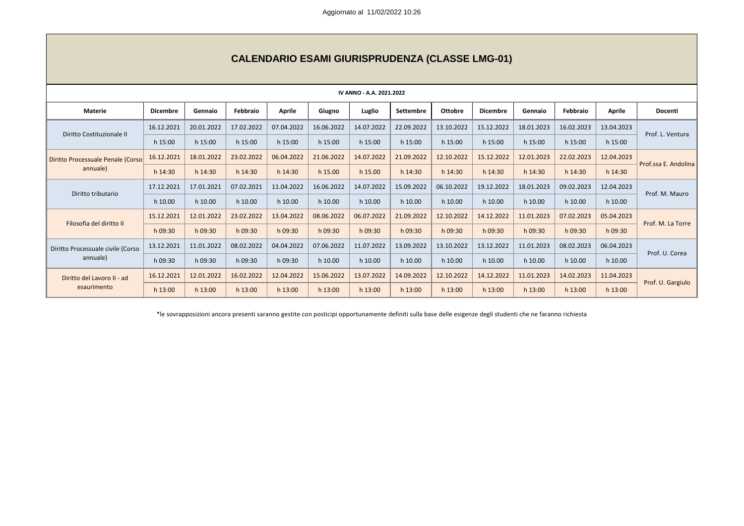| IV ANNO - A.A. 2021.2022                  |                 |            |            |               |            |            |                  |                |                 |            |            |               |                      |
|-------------------------------------------|-----------------|------------|------------|---------------|------------|------------|------------------|----------------|-----------------|------------|------------|---------------|----------------------|
| <b>Materie</b>                            | <b>Dicembre</b> | Gennaio    | Febbraio   | <b>Aprile</b> | Giugno     | Luglio     | <b>Settembre</b> | <b>Ottobre</b> | <b>Dicembre</b> | Gennaio    | Febbraio   | <b>Aprile</b> | Docenti              |
| Diritto Costituzionale II                 | 16.12.2021      | 20.01.2022 | 17.02.2022 | 07.04.2022    | 16.06.2022 | 14.07.2022 | 22.09.2022       | 13.10.2022     | 15.12.2022      | 18.01.2023 | 16.02.2023 | 13.04.2023    | Prof. L. Ventura     |
|                                           | h 15:00         | $h$ 15:00  | h 15:00    | h 15:00       | h 15:00    | h 15:00    | $h$ 15:00        | h 15:00        | h 15:00         | h 15:00    | $h$ 15:00  | h 15:00       |                      |
| Diritto Processuale Penale (Corso         | 16.12.2021      | 18.01.2022 | 23.02.2022 | 06.04.2022    | 21.06.2022 | 14.07.2022 | 21.09.2022       | 12.10.2022     | 15.12.2022      | 12.01.2023 | 22.02.2023 | 12.04.2023    | Prof.ssa E. Andolina |
| annuale)                                  | h 14:30         | h 14:30    | h 14:30    | h 14:30       | h 15.00    | h 15.00    | h 14:30          | h 14:30        | h 14:30         | h 14:30    | h 14:30    | h 14:30       |                      |
|                                           | 17.12.2021      | 17.01.2021 | 07.02.2021 | 11.04.2022    | 16.06.2022 | 14.07.2022 | 15.09.2022       | 06.10.2022     | 19.12.2022      | 18.01.2023 | 09.02.2023 | 12.04.2023    | Prof. M. Mauro       |
| Diritto tributario                        | h 10.00         | h 10.00    | h 10.00    | h 10.00       | h 10.00    | h 10.00    | h 10.00          | h 10.00        | h 10.00         | h 10.00    | h 10.00    | h 10.00       |                      |
| Filosofia del diritto II                  | 15.12.2021      | 12.01.2022 | 23.02.2022 | 13.04.2022    | 08.06.2022 | 06.07.2022 | 21.09.2022       | 12.10.2022     | 14.12.2022      | 11.01.2023 | 07.02.2023 | 05.04.2023    |                      |
|                                           | h 09:30         | h 09:30    | h 09:30    | h 09:30       | h 09:30    | h 09:30    | h 09:30          | h 09:30        | h 09:30         | h 09:30    | h 09:30    | h 09:30       | Prof. M. La Torre    |
| Diritto Processuale civile (Corso         | 13.12.2021      | 11.01.2022 | 08.02.2022 | 04.04.2022    | 07.06.2022 | 11.07.2022 | 13.09.2022       | 13.10.2022     | 13.12.2022      | 11.01.2023 | 08.02.2023 | 06.04.2023    |                      |
| annuale)                                  | h 09:30         | h 09:30    | h 09:30    | h 09:30       | h 10.00    | h 10.00    | h 10.00          | h 10.00        | h 10.00         | h 10.00    | h 10.00    | h 10.00       | Prof. U. Corea       |
| Diritto del Lavoro II - ad<br>esaurimento | 16.12.2021      | 12.01.2022 | 16.02.2022 | 12.04.2022    | 15.06.2022 | 13.07.2022 | 14.09.2022       | 12.10.2022     | 14.12.2022      | 11.01.2023 | 14.02.2023 | 11.04.2023    | Prof. U. Gargiulo    |
|                                           | h 13:00         | $h$ 13:00  | $h$ 13:00  | $h$ 13:00     | h 13:00    | h 13:00    | h 13:00          | h 13:00        | $h$ 13:00       | $h$ 13:00  | $h$ 13:00  | $h$ 13:00     |                      |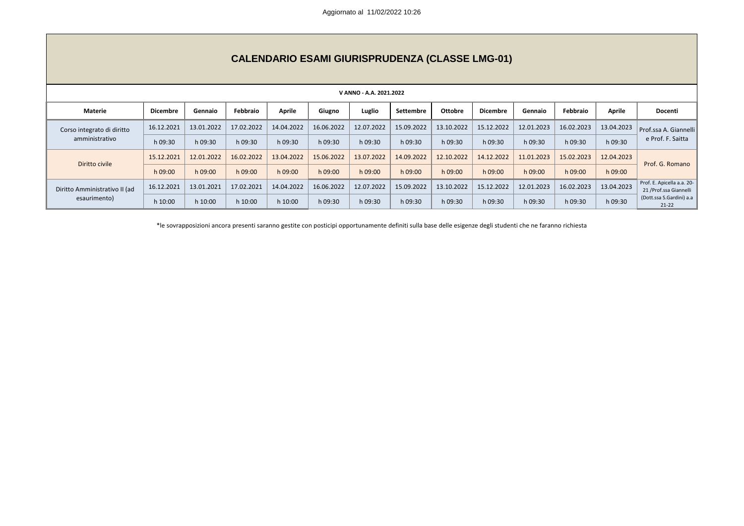|                                               | <b>CALENDARIO ESAMI GIURISPRUDENZA (CLASSE LMG-01)</b> |            |            |               |            |            |            |            |                 |            |            |               |                                                       |
|-----------------------------------------------|--------------------------------------------------------|------------|------------|---------------|------------|------------|------------|------------|-----------------|------------|------------|---------------|-------------------------------------------------------|
| V ANNO - A.A. 2021.2022                       |                                                        |            |            |               |            |            |            |            |                 |            |            |               |                                                       |
| Materie                                       | <b>Dicembre</b>                                        | Gennaio    | Febbraio   | <b>Aprile</b> | Giugno     | Luglio     | Settembre  | Ottobre    | <b>Dicembre</b> | Gennaio    | Febbraio   | <b>Aprile</b> | Docenti                                               |
| Corso integrato di diritto                    | 16.12.2021                                             | 13.01.2022 | 17.02.2022 | 14.04.2022    | 16.06.2022 | 12.07.2022 | 15.09.2022 | 13.10.2022 | 15.12.2022      | 12.01.2023 | 16.02.2023 | 13.04.2023    | Prof.ssa A. Giannelli                                 |
| amministrativo                                | h 09:30                                                | h 09:30    | h 09:30    | h 09:30       | h 09:30    | h 09:30    | h 09:30    | h 09:30    | h 09:30         | h 09:30    | h 09:30    | h 09:30       | e Prof. F. Saitta                                     |
|                                               | 15.12.2021                                             | 12.01.2022 | 16.02.2022 | 13.04.2022    | 15.06.2022 | 13.07.2022 | 14.09.2022 | 12.10.2022 | 14.12.2022      | 11.01.2023 | 15.02.2023 | 12.04.2023    | Prof. G. Romano                                       |
| Diritto civile                                | h 09:00                                                | h 09:00    | h 09:00    | h 09:00       | h 09:00    | h 09:00    | h 09:00    | h 09:00    | h 09:00         | h 09:00    | h 09:00    | h 09:00       |                                                       |
| Diritto Amministrativo II (ad<br>esaurimento) | 16.12.2021                                             | 13.01.2021 | 17.02.2021 | 14.04.2022    | 16.06.2022 | 12.07.2022 | 15.09.2022 | 13.10.2022 | 15.12.2022      | 12.01.2023 | 16.02.2023 | 13.04.2023    | Prof. E. Apicella a.a. 20-<br>21 / Prof.ssa Giannelli |
|                                               | h 10:00                                                | h 10:00    | h 10:00    | h 10:00       | h 09:30    | h 09:30    | h 09:30    | h 09:30    | h 09:30         | h 09:30    | h 09:30    | h 09:30       | (Dott.ssa S.Gardini) a.a<br>$21 - 22$                 |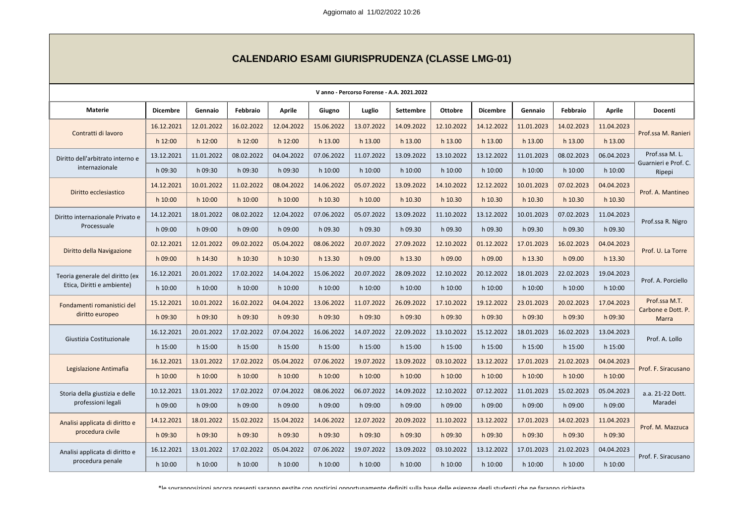| Vanno - Percorso Forense - A.A. 2021.2022                     |                 |            |            |               |            |            |                  |                |                 |            |            |               |                                     |
|---------------------------------------------------------------|-----------------|------------|------------|---------------|------------|------------|------------------|----------------|-----------------|------------|------------|---------------|-------------------------------------|
| <b>Materie</b>                                                | <b>Dicembre</b> | Gennaio    | Febbraio   | <b>Aprile</b> | Giugno     | Luglio     | <b>Settembre</b> | <b>Ottobre</b> | <b>Dicembre</b> | Gennaio    | Febbraio   | <b>Aprile</b> | Docenti                             |
|                                                               | 16.12.2021      | 12.01.2022 | 16.02.2022 | 12.04.2022    | 15.06.2022 | 13.07.2022 | 14.09.2022       | 12.10.2022     | 14.12.2022      | 11.01.2023 | 14.02.2023 | 11.04.2023    |                                     |
| Contratti di lavoro                                           | h 12:00         | $h$ 12:00  | $h$ 12:00  | h 12:00       | h 13.00    | h 13.00    | h 13.00          | h 13.00        | h 13.00         | h 13.00    | h 13.00    | h 13.00       | Prof.ssa M. Ranieri                 |
| Diritto dell'arbitrato interno e                              | 13.12.2021      | 11.01.2022 | 08.02.2022 | 04.04.2022    | 07.06.2022 | 11.07.2022 | 13.09.2022       | 13.10.2022     | 13.12.2022      | 11.01.2023 | 08.02.2023 | 06.04.2023    | Prof.ssa M.L.                       |
| internazionale                                                | h 09:30         | h 09:30    | h 09:30    | h 09:30       | h 10:00    | h 10:00    | h 10:00          | h 10:00        | h 10:00         | h 10:00    | h 10:00    | h 10:00       | Guarnieri e Prof. C.<br>Ripepi      |
|                                                               | 14.12.2021      | 10.01.2022 | 11.02.2022 | 08.04.2022    | 14.06.2022 | 05.07.2022 | 13.09.2022       | 14.10.2022     | 12.12.2022      | 10.01.2023 | 07.02.2023 | 04.04.2023    |                                     |
| Diritto ecclesiastico                                         | h 10:00         | $h$ 10:00  | h 10:00    | h 10:00       | h 10.30    | h 10.00    | h 10.30          | h 10.30        | h 10.30         | h 10.30    | h 10.30    | h 10.30       | Prof. A. Mantineo                   |
| Diritto internazionale Privato e                              | 14.12.2021      | 18.01.2022 | 08.02.2022 | 12.04.2022    | 07.06.2022 | 05.07.2022 | 13.09.2022       | 11.10.2022     | 13.12.2022      | 10.01.2023 | 07.02.2023 | 11.04.2023    | Prof.ssa R. Nigro                   |
| Processuale                                                   | h 09:00         | h 09:00    | h 09:00    | h 09:00       | h 09.30    | h 09.30    | h 09.30          | h 09.30        | h 09.30         | h 09.30    | h 09.30    | h 09.30       |                                     |
| Diritto della Navigazione                                     | 02.12.2021      | 12.01.2022 | 09.02.2022 | 05.04.2022    | 08.06.2022 | 20.07.2022 | 27.09.2022       | 12.10.2022     | 01.12.2022      | 17.01.2023 | 16.02.2023 | 04.04.2023    | Prof. U. La Torre                   |
|                                                               | h 09:00         | h 14:30    | h 10:30    | h 10:30       | h 13.30    | h 09.00    | h 13.30          | h 09.00        | h 09.00         | h 13.30    | h 09.00    | h 13.30       |                                     |
| Teoria generale del diritto (ex<br>Etica, Diritti e ambiente) | 16.12.2021      | 20.01.2022 | 17.02.2022 | 14.04.2022    | 15.06.2022 | 20.07.2022 | 28.09.2022       | 12.10.2022     | 20.12.2022      | 18.01.2023 | 22.02.2023 | 19.04.2023    | Prof. A. Porciello                  |
|                                                               | h 10:00         | h 10:00    | h 10:00    | h 10:00       | h 10:00    | h 10:00    | $h$ 10:00        | h 10:00        | h 10:00         | h 10:00    | h 10:00    | h 10:00       |                                     |
| Fondamenti romanistici del                                    | 15.12.2021      | 10.01.2022 | 16.02.2022 | 04.04.2022    | 13.06.2022 | 11.07.2022 | 26.09.2022       | 17.10.2022     | 19.12.2022      | 23.01.2023 | 20.02.2023 | 17.04.2023    | Prof.ssa M.T.<br>Carbone e Dott. P. |
| diritto europeo                                               | h 09:30         | h 09:30    | h 09:30    | h 09:30       | h 09:30    | h 09:30    | h 09:30          | h 09:30        | h 09:30         | h 09:30    | h 09:30    | h 09:30       | Marra                               |
| Giustizia Costituzionale                                      | 16.12.2021      | 20.01.2022 | 17.02.2022 | 07.04.2022    | 16.06.2022 | 14.07.2022 | 22.09.2022       | 13.10.2022     | 15.12.2022      | 18.01.2023 | 16.02.2023 | 13.04.2023    | Prof. A. Lollo                      |
|                                                               | h 15:00         | $h$ 15:00  | h 15:00    | h 15:00       | h 15:00    | h 15:00    | h 15:00          | h 15:00        | h 15:00         | h 15:00    | h 15:00    | h 15:00       |                                     |
| Legislazione Antimafia                                        | 16.12.2021      | 13.01.2022 | 17.02.2022 | 05.04.2022    | 07.06.2022 | 19.07.2022 | 13.09.2022       | 03.10.2022     | 13.12.2022      | 17.01.2023 | 21.02.2023 | 04.04.2023    | Prof. F. Siracusano                 |
|                                                               | h 10:00         | $h$ 10:00  | $h$ 10:00  | h 10:00       | h 10:00    | h 10:00    | $h$ 10:00        | h 10:00        | h 10:00         | h 10:00    | h 10:00    | h 10:00       |                                     |
| Storia della giustizia e delle                                | 10.12.2021      | 13.01.2022 | 17.02.2022 | 07.04.2022    | 08.06.2022 | 06.07.2022 | 14.09.2022       | 12.10.2022     | 07.12.2022      | 11.01.2023 | 15.02.2023 | 05.04.2023    | a.a. 21-22 Dott.                    |
| professioni legali                                            | h 09:00         | h 09:00    | h 09:00    | h 09:00       | h 09:00    | h 09:00    | h 09:00          | h 09:00        | h 09:00         | h 09:00    | h 09:00    | h 09:00       | Maradei                             |
| Analisi applicata di diritto e                                | 14.12.2021      | 18.01.2022 | 15.02.2022 | 15.04.2022    | 14.06.2022 | 12.07.2022 | 20.09.2022       | 11.10.2022     | 13.12.2022      | 17.01.2023 | 14.02.2023 | 11.04.2023    | Prof. M. Mazzuca                    |
| procedura civile                                              | h 09:30         | h 09:30    | h 09:30    | h 09:30       | h 09:30    | h 09:30    | $h$ 09:30        | h 09:30        | h 09:30         | h 09:30    | h 09:30    | h 09:30       |                                     |
| Analisi applicata di diritto e                                | 16.12.2021      | 13.01.2022 | 17.02.2022 | 05.04.2022    | 07.06.2022 | 19.07.2022 | 13.09.2022       | 03.10.2022     | 13.12.2022      | 17.01.2023 | 21.02.2023 | 04.04.2023    | Prof. F. Siracusano                 |
| procedura penale                                              | h 10:00         | h 10:00    | $h$ 10:00  | h 10:00       | $h$ 10:00  | h 10:00    | h 10:00          | h 10:00        | h 10:00         | h 10:00    | h 10:00    | h 10:00       |                                     |

# **CALENDARIO ESAMI GIURISPRUDENZA (CLASSE LMG-01)**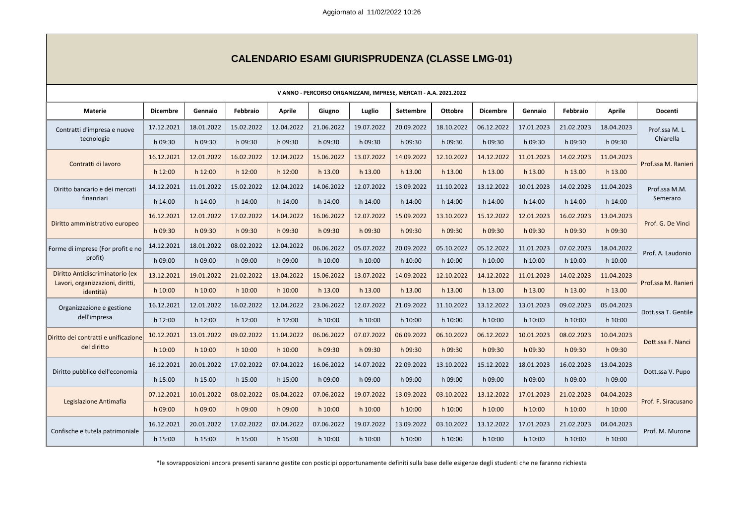| V ANNO - PERCORSO ORGANIZZANI, IMPRESE, MERCATI - A.A. 2021.2022 |                 |            |            |               |            |            |                  |                |                 |            |            |               |                     |
|------------------------------------------------------------------|-----------------|------------|------------|---------------|------------|------------|------------------|----------------|-----------------|------------|------------|---------------|---------------------|
| <b>Materie</b>                                                   | <b>Dicembre</b> | Gennaio    | Febbraio   | <b>Aprile</b> | Giugno     | Luglio     | <b>Settembre</b> | <b>Ottobre</b> | <b>Dicembre</b> | Gennaio    | Febbraio   | <b>Aprile</b> | Docenti             |
| Contratti d'impresa e nuove                                      | 17.12.2021      | 18.01.2022 | 15.02.2022 | 12.04.2022    | 21.06.2022 | 19.07.2022 | 20.09.2022       | 18.10.2022     | 06.12.2022      | 17.01.2023 | 21.02.2023 | 18.04.2023    | Prof.ssa M.L.       |
| tecnologie                                                       | h 09:30         | h 09:30    | h 09:30    | h 09:30       | h 09:30    | h 09:30    | h 09:30          | h 09:30        | h 09:30         | h 09:30    | h 09:30    | h 09:30       | Chiarella           |
| Contratti di lavoro                                              | 16.12.2021      | 12.01.2022 | 16.02.2022 | 12.04.2022    | 15.06.2022 | 13.07.2022 | 14.09.2022       | 12.10.2022     | 14.12.2022      | 11.01.2023 | 14.02.2023 | 11.04.2023    | Prof.ssa M. Ranieri |
|                                                                  | h 12:00         | $h$ 12:00  | $h$ 12:00  | h 12:00       | h 13.00    | h 13.00    | h 13.00          | h 13.00        | h 13.00         | h 13.00    | h 13.00    | h 13.00       |                     |
| Diritto bancario e dei mercati                                   | 14.12.2021      | 11.01.2022 | 15.02.2022 | 12.04.2022    | 14.06.2022 | 12.07.2022 | 13.09.2022       | 11.10.2022     | 13.12.2022      | 10.01.2023 | 14.02.2023 | 11.04.2023    | Prof.ssa M.M.       |
| finanziari                                                       | h 14:00         | h 14:00    | h 14:00    | h 14:00       | h 14:00    | h 14:00    | h 14:00          | h 14:00        | h 14:00         | h 14:00    | h 14:00    | h 14:00       | Semeraro            |
| Diritto amministrativo europeo                                   | 16.12.2021      | 12.01.2022 | 17.02.2022 | 14.04.2022    | 16.06.2022 | 12.07.2022 | 15.09.2022       | 13.10.2022     | 15.12.2022      | 12.01.2023 | 16.02.2023 | 13.04.2023    | Prof. G. De Vinci   |
|                                                                  | h 09:30         | h 09:30    | h 09:30    | h 09:30       | h 09:30    | h 09:30    | h 09:30          | h 09:30        | h 09:30         | h 09:30    | h 09:30    | h 09:30       |                     |
| Forme di imprese (For profit e no                                | 14.12.2021      | 18.01.2022 | 08.02.2022 | 12.04.2022    | 06.06.2022 | 05.07.2022 | 20.09.2022       | 05.10.2022     | 05.12.2022      | 11.01.2023 | 07.02.2023 | 18.04.2022    | Prof. A. Laudonio   |
| profit)                                                          | h 09:00         | h 09:00    | h 09:00    | h 09:00       | h 10:00    | h 10:00    | h 10:00          | h 10:00        | h 10:00         | $h$ 10:00  | h 10:00    | h 10:00       |                     |
| Diritto Antidiscriminatorio (ex                                  | 13.12.2021      | 19.01.2022 | 21.02.2022 | 13.04.2022    | 15.06.2022 | 13.07.2022 | 14.09.2022       | 12.10.2022     | 14.12.2022      | 11.01.2023 | 14.02.2023 | 11.04.2023    | Prof.ssa M. Ranieri |
| Lavori, organizzazioni, diritti,<br>identità)                    | h 10:00         | h 10:00    | $h$ 10:00  | h 10:00       | h 13.00    | h 13.00    | h 13.00          | h 13.00        | h 13.00         | h 13.00    | h 13.00    | h 13.00       |                     |
| Organizzazione e gestione                                        | 16.12.2021      | 12.01.2022 | 16.02.2022 | 12.04.2022    | 23.06.2022 | 12.07.2022 | 21.09.2022       | 11.10.2022     | 13.12.2022      | 13.01.2023 | 09.02.2023 | 05.04.2023    | Dott.ssa T. Gentile |
| dell'impresa                                                     | h 12:00         | h 12:00    | h 12:00    | h 12:00       | h 10:00    | h 10:00    | h 10:00          | h 10:00        | h 10:00         | h 10:00    | h 10:00    | h 10:00       |                     |
| Diritto dei contratti e unificazione                             | 10.12.2021      | 13.01.2022 | 09.02.2022 | 11.04.2022    | 06.06.2022 | 07.07.2022 | 06.09.2022       | 06.10.2022     | 06.12.2022      | 10.01.2023 | 08.02.2023 | 10.04.2023    | Dott.ssa F. Nanci   |
| del diritto                                                      | h 10:00         | h 10:00    | h 10:00    | h 10:00       | h 09:30    | h 09:30    | h 09:30          | h 09:30        | h 09:30         | h 09:30    | h 09:30    | h 09:30       |                     |
|                                                                  | 16.12.2021      | 20.01.2022 | 17.02.2022 | 07.04.2022    | 16.06.2022 | 14.07.2022 | 22.09.2022       | 13.10.2022     | 15.12.2022      | 18.01.2023 | 16.02.2023 | 13.04.2023    |                     |
| Diritto pubblico dell'economia                                   | h 15:00         | h 15:00    | h 15:00    | h 15:00       | h 09:00    | h 09:00    | h 09:00          | h 09:00        | h 09:00         | h 09:00    | h 09:00    | h 09:00       | Dott.ssa V. Pupo    |
|                                                                  | 07.12.2021      | 10.01.2022 | 08.02.2022 | 05.04.2022    | 07.06.2022 | 19.07.2022 | 13.09.2022       | 03.10.2022     | 13.12.2022      | 17.01.2023 | 21.02.2023 | 04.04.2023    | Prof. F. Siracusano |
| Legislazione Antimafia                                           | h 09:00         | h 09:00    | h 09:00    | h 09:00       | h 10:00    | $h$ 10:00  | $h$ 10:00        | h 10:00        | $h$ 10:00       | $h$ 10:00  | h 10:00    | h 10:00       |                     |
|                                                                  | 16.12.2021      | 20.01.2022 | 17.02.2022 | 07.04.2022    | 07.06.2022 | 19.07.2022 | 13.09.2022       | 03.10.2022     | 13.12.2022      | 17.01.2023 | 21.02.2023 | 04.04.2023    |                     |
| Confische e tutela patrimoniale                                  | h 15:00         | $h$ 15:00  | h 15:00    | h 15:00       | h 10:00    | $h$ 10:00  | $h$ 10:00        | h 10:00        | $h$ 10:00       | $h$ 10:00  | h 10:00    | h 10:00       | Prof. M. Murone     |